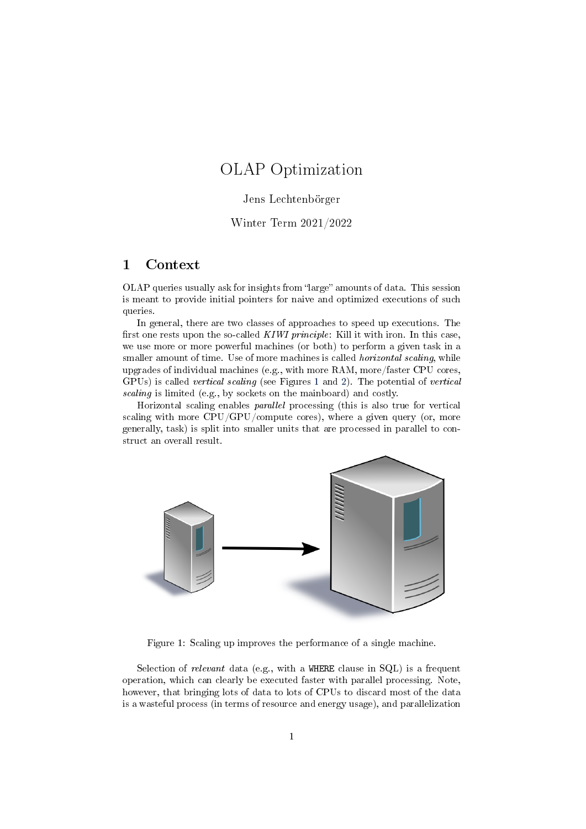# <span id="page-0-1"></span>OLAP Optimization

#### Jens Lechtenbörger

#### Winter Term 2021/2022

## 1 Context

OLAP queries usually ask for insights from "large" amounts of data. This session is meant to provide initial pointers for naive and optimized executions of such queries.

In general, there are two classes of approaches to speed up executions. The first one rests upon the so-called  $KIWI$  principle: Kill it with iron. In this case, we use more or more powerful machines (or both) to perform a given task in a smaller amount of time. Use of more machines is called *horizontal scaling*, while upgrades of individual machines (e.g., with more RAM, more/faster CPU cores, GPUs) is called vertical scaling (see Figures [1](#page-0-0) and [2\)](#page-1-0). The potential of vertical scaling is limited (e.g., by sockets on the mainboard) and costly.

Horizontal scaling enables parallel processing (this is also true for vertical scaling with more CPU/GPU/compute cores), where a given query (or, more generally, task) is split into smaller units that are processed in parallel to construct an overall result.



<span id="page-0-0"></span>Figure 1: Scaling up improves the performance of a single machine.

Selection of relevant data (e.g., with a WHERE clause in SQL) is a frequent operation, which can clearly be executed faster with parallel processing. Note, however, that bringing lots of data to lots of CPUs to discard most of the data is a wasteful process (in terms of resource and energy usage), and parallelization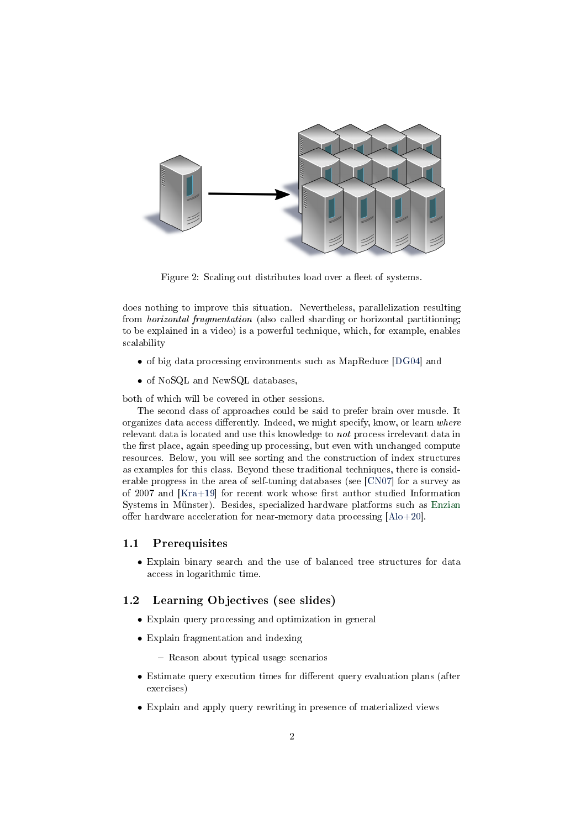

<span id="page-1-0"></span>Figure 2: Scaling out distributes load over a fleet of systems.

does nothing to improve this situation. Nevertheless, parallelization resulting from horizontal fragmentation (also called sharding or horizontal partitioning; to be explained in a video) is a powerful technique, which, for example, enables scalability

- of big data processing environments such as MapReduce [\[DG04\]](#page-5-0) and
- of NoSQL and NewSQL databases,

both of which will be covered in other sessions.

The second class of approaches could be said to prefer brain over muscle. It organizes data access differently. Indeed, we might specify, know, or learn where relevant data is located and use this knowledge to not process irrelevant data in the first place, again speeding up processing, but even with unchanged compute resources. Below, you will see sorting and the construction of index structures as examples for this class. Beyond these traditional techniques, there is considerable progress in the area of self-tuning databases (see [\[CN07\]](#page-5-1) for a survey as of 2007 and  $[Kra+19]$  for recent work whose first author studied Information Systems in Münster). Besides, specialized hardware platforms such as [Enzian](http://www.enzian.systems/enzian-spec.html) offer hardware acceleration for near-memory data processing  $[A]_0+20]$ .

#### 1.1 Prerequisites

• Explain binary search and the use of balanced tree structures for data access in logarithmic time.

#### 1.2 Learning Objectives (see slides)

- Explain query processing and optimization in general
- Explain fragmentation and indexing
	- Reason about typical usage scenarios
- Estimate query execution times for different query evaluation plans (after exercises)
- Explain and apply query rewriting in presence of materialized views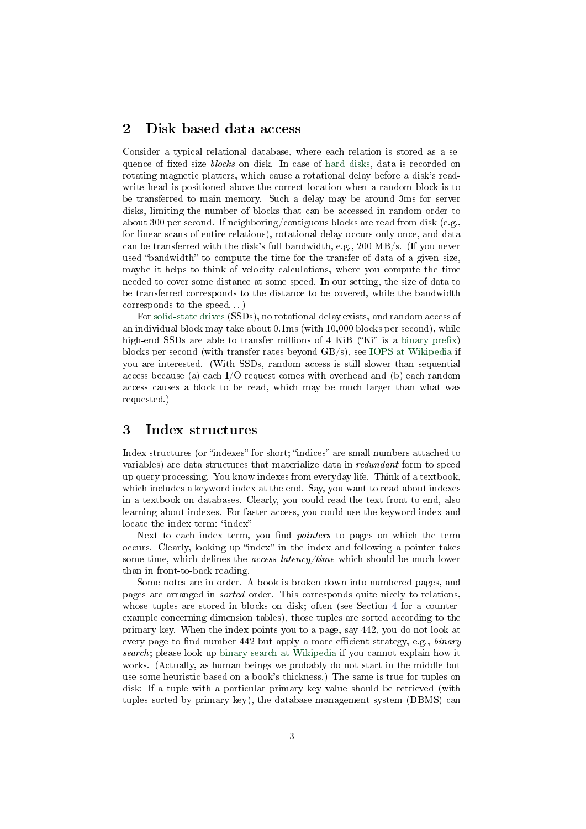## 2 Disk based data access

Consider a typical relational database, where each relation is stored as a sequence of fixed-size blocks on disk. In case of [hard disks,](https://en.wikipedia.org/wiki/Hard_disk_drive) data is recorded on rotating magnetic platters, which cause a rotational delay before a disk's readwrite head is positioned above the correct location when a random block is to be transferred to main memory. Such a delay may be around 3ms for server disks, limiting the number of blocks that can be accessed in random order to about 300 per second. If neighboring/contiguous blocks are read from disk (e.g., for linear scans of entire relations), rotational delay occurs only once, and data can be transferred with the disk's full bandwidth, e.g., 200 MB/s. (If you never used "bandwidth" to compute the time for the transfer of data of a given size, maybe it helps to think of velocity calculations, where you compute the time needed to cover some distance at some speed. In our setting, the size of data to be transferred corresponds to the distance to be covered, while the bandwidth corresponds to the speed. . . )

For [solid-state drives](https://en.wikipedia.org/wiki/Solid-state_drive) (SSDs), no rotational delay exists, and random access of an individual block may take about 0.1ms (with 10,000 blocks per second), while high-end SSDs are able to transfer millions of 4 KiB ("Ki" is a binary prefix) blocks per second (with transfer rates beyond GB/s), see [IOPS at Wikipedia](https://en.wikipedia.org/wiki/IOPS) if you are interested. (With SSDs, random access is still slower than sequential access because (a) each  $I/O$  request comes with overhead and (b) each random access causes a block to be read, which may be much larger than what was requested.)

## 3 Index structures

Index structures (or "indexes" for short; "indices" are small numbers attached to variables) are data structures that materialize data in redundant form to speed up query processing. You know indexes from everyday life. Think of a textbook, which includes a keyword index at the end. Say, you want to read about indexes in a textbook on databases. Clearly, you could read the text front to end, also learning about indexes. For faster access, you could use the keyword index and locate the index term: "index"

Next to each index term, you find *pointers* to pages on which the term occurs. Clearly, looking up "index" in the index and following a pointer takes some time, which defines the *access latency/time* which should be much lower than in front-to-back reading.

Some notes are in order. A book is broken down into numbered pages, and pages are arranged in sorted order. This corresponds quite nicely to relations, whose tuples are stored in blocks on disk; often (see Section [4](#page-3-0) for a counterexample concerning dimension tables), those tuples are sorted according to the primary key. When the index points you to a page, say 442, you do not look at every page to find number 442 but apply a more efficient strategy, e.g.,  $\frac{binary}{}$ search; please look up [binary search at Wikipedia](https://en.wikipedia.org/wiki/Binary_search_algorithm) if you cannot explain how it works. (Actually, as human beings we probably do not start in the middle but use some heuristic based on a book's thickness.) The same is true for tuples on disk: If a tuple with a particular primary key value should be retrieved (with tuples sorted by primary key), the database management system (DBMS) can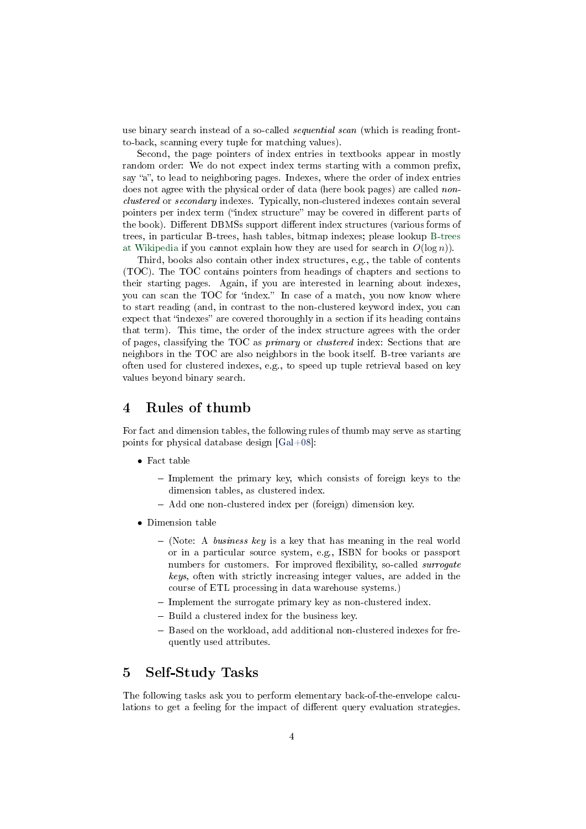use binary search instead of a so-called *sequential scan* (which is reading frontto-back, scanning every tuple for matching values).

Second, the page pointers of index entries in textbooks appear in mostly random order: We do not expect index terms starting with a common prefix, say "a", to lead to neighboring pages. Indexes, where the order of index entries does not agree with the physical order of data (here book pages) are called *non*clustered or secondary indexes. Typically, non-clustered indexes contain several pointers per index term ("index structure" may be covered in different parts of the book). Different DBMSs support different index structures (various forms of trees, in particular B-trees, hash tables, bitmap indexes; please lookup [B-trees](https://en.wikipedia.org/wiki/B-tree) [at Wikipedia](https://en.wikipedia.org/wiki/B-tree) if you cannot explain how they are used for search in  $O(\log n)$ .

Third, books also contain other index structures, e.g., the table of contents (TOC). The TOC contains pointers from headings of chapters and sections to their starting pages. Again, if you are interested in learning about indexes, you can scan the TOC for "index." In case of a match, you now know where to start reading (and, in contrast to the non-clustered keyword index, you can expect that "indexes" are covered thoroughly in a section if its heading contains that term). This time, the order of the index structure agrees with the order of pages, classifying the TOC as primary or clustered index: Sections that are neighbors in the TOC are also neighbors in the book itself. B-tree variants are often used for clustered indexes, e.g., to speed up tuple retrieval based on key values beyond binary search.

# <span id="page-3-0"></span>4 Rules of thumb

For fact and dimension tables, the following rules of thumb may serve as starting points for physical database design [\[Gal+08\]](#page-5-4):

- Fact table
	- Implement the primary key, which consists of foreign keys to the dimension tables, as clustered index.
	- Add one non-clustered index per (foreign) dimension key.
- Dimension table
	- $-$  (Note: A business key is a key that has meaning in the real world or in a particular source system, e.g., ISBN for books or passport numbers for customers. For improved flexibility, so-called surrogate keys, often with strictly increasing integer values, are added in the course of ETL processing in data warehouse systems.)
	- Implement the surrogate primary key as non-clustered index.
	- Build a clustered index for the business key.
	- Based on the workload, add additional non-clustered indexes for frequently used attributes.

#### 5 Self-Study Tasks

The following tasks ask you to perform elementary back-of-the-envelope calculations to get a feeling for the impact of different query evaluation strategies.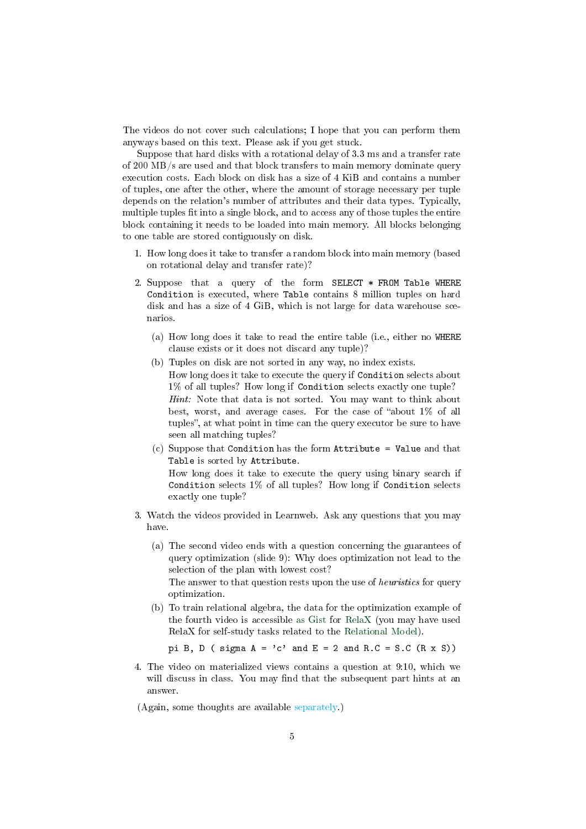The videos do not cover such calculations; I hope that you can perform them anyways based on this text. Please ask if you get stuck.

Suppose that hard disks with a rotational delay of 3.3 ms and a transfer rate of 200 MB/s are used and that block transfers to main memory dominate query execution costs. Each block on disk has a size of 4 KiB and contains a number of tuples, one after the other, where the amount of storage necessary per tuple depends on the relation's number of attributes and their data types. Typically, multiple tuples fit into a single block, and to access any of those tuples the entire block containing it needs to be loaded into main memory. All blocks belonging to one table are stored contiguously on disk.

- 1. How long does it take to transfer a random block into main memory (based on rotational delay and transfer rate)?
- 2. Suppose that a query of the form SELECT \* FROM Table WHERE Condition is executed, where Table contains 8 million tuples on hard disk and has a size of 4 GiB, which is not large for data warehouse scenarios.
	- (a) How long does it take to read the entire table (i.e., either no WHERE clause exists or it does not discard any tuple)?
	- (b) Tuples on disk are not sorted in any way, no index exists. How long does it take to execute the query if Condition selects about 1% of all tuples? How long if Condition selects exactly one tuple? Hint: Note that data is not sorted. You may want to think about best, worst, and average cases. For the case of "about  $1\%$  of all tuples", at what point in time can the query executor be sure to have seen all matching tuples?
	- (c) Suppose that Condition has the form Attribute = Value and that Table is sorted by Attribute. How long does it take to execute the query using binary search if Condition selects 1% of all tuples? How long if Condition selects exactly one tuple?
- 3. Watch the videos provided in Learnweb. Ask any questions that you may have.
	- (a) The second video ends with a question concerning the guarantees of query optimization (slide 9): Why does optimization not lead to the selection of the plan with lowest cost? The answer to that question rests upon the use of heuristics for query

optimization.

(b) To train relational algebra, the data for the optimization example of the fourth video is accessible [as Gist](https://gist.github.com/lechten/97f07fac4adc9b7b6bca593cc0da2eef) for [RelaX](https://dbis-uibk.github.io/relax/calc/gist/97f07fac4adc9b7b6bca593cc0da2eef) (you may have used RelaX for self-study tasks related to the [Relational Model\)](./relational-model.org::#relax).

pi B, D ( sigma  $A = 'c'$  and  $E = 2$  and  $R.C = S.C (R x S))$ 

4. The video on materialized views contains a question at 9:10, which we will discuss in class. You may find that the subsequent part hints at an answer.

(Again, some thoughts are available [separately.](#page-0-1))